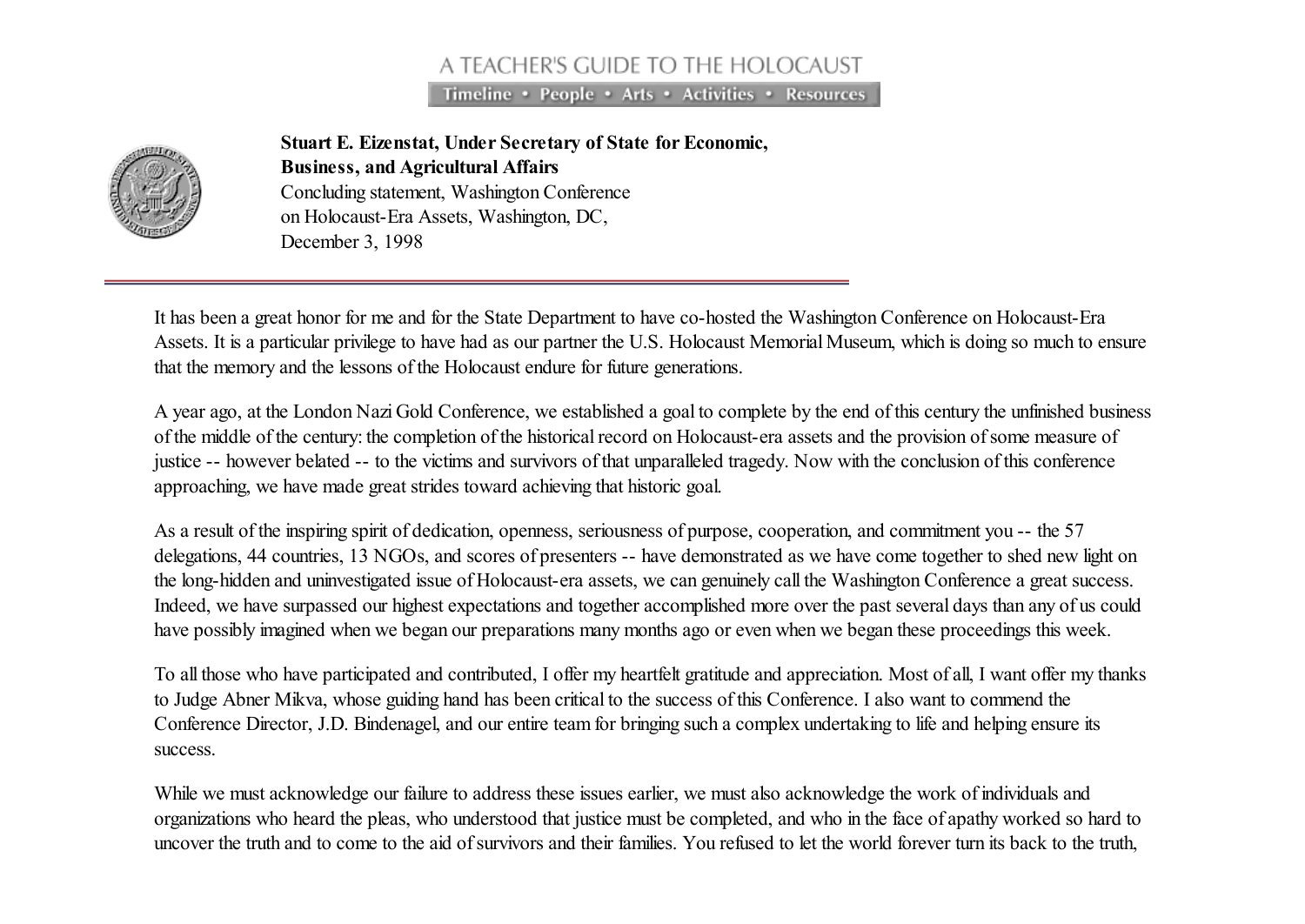## A TEACHER'S GUIDE TO THE HOLOCAUST

Timeline • People • Arts • Activities • Resources



Stuart E. Eizenstat, Under Secretary of State for Economic, Business, and Agricultural Affairs Concluding statement, Washington Conference on Holocaust-Era Assets, Washington, DC, December 3, 1998

It has been a great honor for me and for the State Department to have co-hosted the Washington Conference on Holocaust-Era Assets. It is a particular privilege to have had as our partner the U.S. Holocaust Memorial Museum, which is doing so much to ensure that the memory and the lessons of the Holocaust endure for future generations.

A year ago, at the London Nazi Gold Conference, we established a goal to complete by the end of this century the unfinished business of the middle of the century: the completion of the historical record on Holocaust-era assets and the provision of some measure of justice -- however belated -- to the victims and survivors of that unparalleled tragedy. Now with the conclusion of this conference approaching, we have made great strides toward achieving that historic goal.

As a result of the inspiring spirit of dedication, openness, seriousness of purpose, cooperation, and commitment you -- the 57 delegations, 44 countries, 13 NGOs, and scores of presenters -- have demonstrated as we have come together to shed new light on the long-hidden and uninvestigated issue of Holocaust-era assets, we can genuinely call the Washington Conference a great success. Indeed, we have surpassed our highest expectations and together accomplished more over the past several days than any of us could have possibly imagined when we began our preparations many months ago or even when we began these proceedings this week.

To all those who have participated and contributed, I offer my heartfelt gratitude and appreciation. Most of all, I want offer my thanks to Judge Abner Mikva, whose guiding hand has been critical to the success of this Conference. I also want to commend the Conference Director, J.D. Bindenagel, and our entire team for bringing such a complex undertaking to life and helping ensure its success.

While we must acknowledge our failure to address these issues earlier, we must also acknowledge the work of individuals and organizations who heard the pleas, who understood that justice must be completed, and who in the face of apathy worked so hard to uncover the truth and to come to the aid of survivors and their families. You refused to let the world forever turn its back to the truth,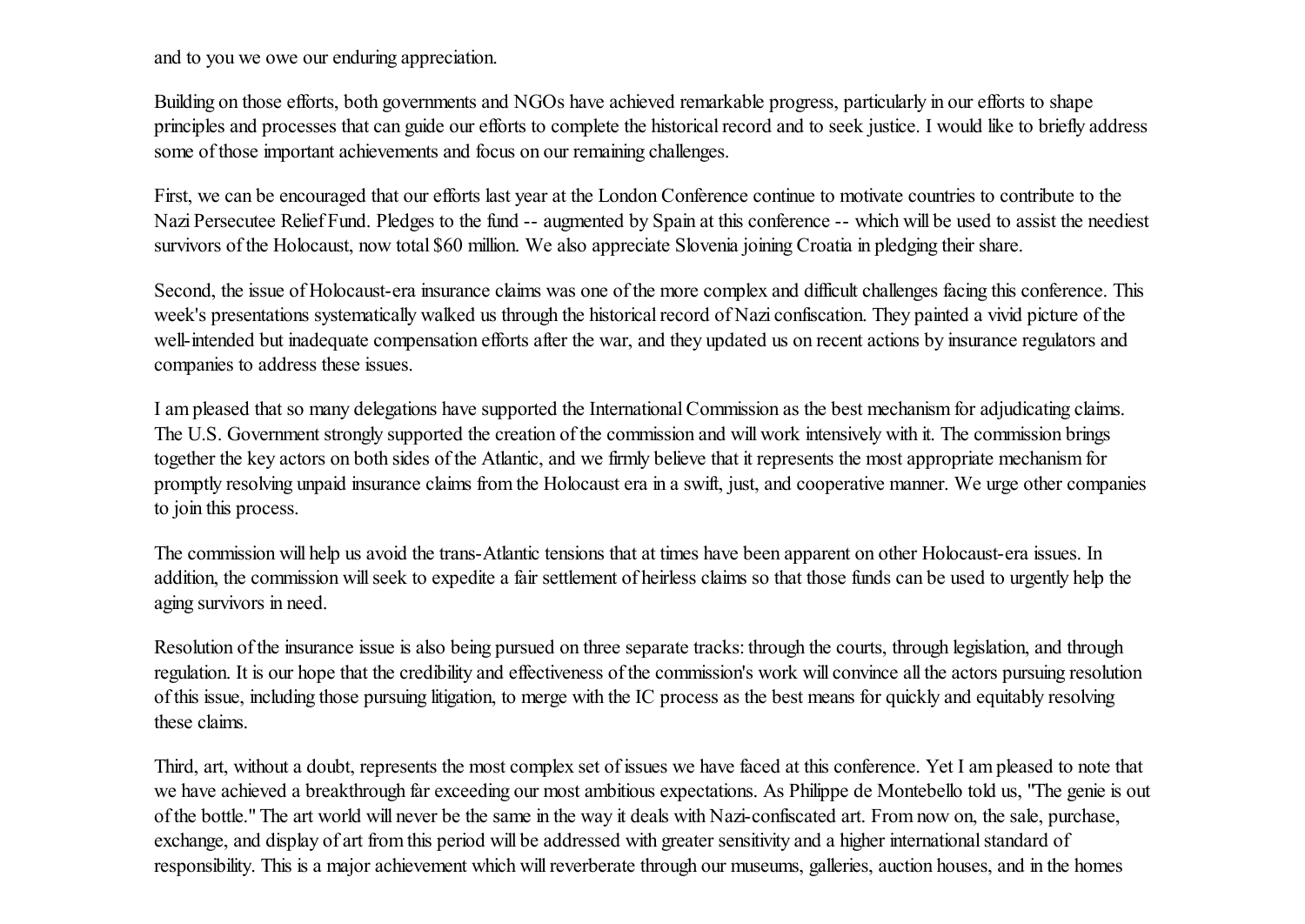and to you we owe our enduring appreciation.

Building on those efforts, both governments and NGOs have achieved remarkable progress, particularly in our efforts to shape principles and processes that can guide our efforts to complete the historical record and to seek justice. I would like to briefly address some of those important achievements and focus on our remaining challenges.

First, we can be encouraged that our efforts last year at the London Conference continue to motivate countries to contribute to the Nazi Persecutee Relief Fund. Pledges to the fund -- augmented by Spain at this conference -- which will be used to assist the neediest survivors of the Holocaust, now total \$60 million. We also appreciate Slovenia joining Croatia in pledging their share.

Second, the issue of Holocaust-era insurance claims was one of the more complex and difficult challenges facing this conference. This week's presentations systematically walked us through the historical record of Nazi confiscation. They painted a vivid picture of the well-intended but inadequate compensation efforts after the war, and they updated us on recent actions by insurance regulators and companies to address these issues.

I am pleased that so many delegations have supported the InternationalCommission as the best mechanism for adjudicating claims. The U.S. Government strongly supported the creation of the commission and will work intensively with it. The commission brings together the key actors on both sides of the Atlantic, and we firmly believe that it represents the most appropriate mechanism for promptly resolving unpaid insurance claims from the Holocaust era in a swift, just, and cooperative manner. We urge other companies to join this process.

The commission will help us avoid the trans-Atlantic tensions that at times have been apparent on other Holocaust-era issues. In addition, the commission will seek to expedite a fair settlement of heirless claims so that those funds can be used to urgently help the aging survivors in need.

Resolution of the insurance issue is also being pursued on three separate tracks: through the courts, through legislation, and through regulation. It is our hope that the credibility and effectiveness of the commission's work will convince all the actors pursuing resolution of this issue, including those pursuing litigation, to merge with the IC process as the best means for quickly and equitably resolving these claims.

Third, art, without a doubt, represents the most complex set of issues we have faced at this conference. Yet I am pleased to note that we have achieved a breakthrough far exceeding our most ambitious expectations. As Philippe de Montebello told us, "The genie is out of the bottle." The art world will never be the same in the way it deals with Nazi-confiscated art. From now on, the sale, purchase, exchange, and display of art from this period will be addressed with greater sensitivity and a higher international standard of responsibility. This is a major achievement which willreverberate through our museums, galleries, auction houses, and in the homes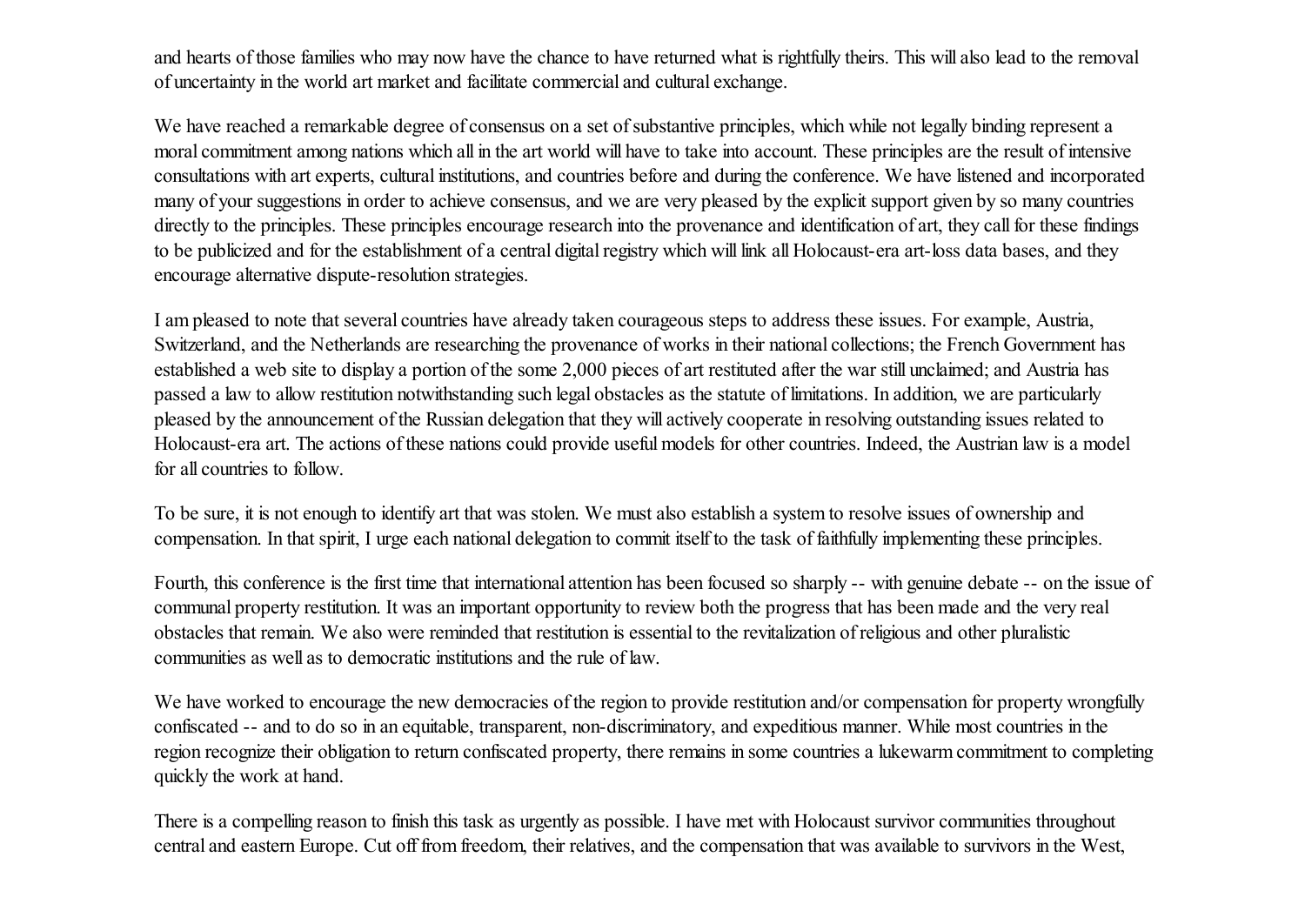and hearts of those families who may now have the chance to have returned what is rightfully theirs. This will also lead to the removal of uncertainty in the world art market and facilitate commercial and cultural exchange.

We have reached a remarkable degree of consensus on a set of substantive principles, which while not legally binding represent a moral commitment among nations which all in the art world will have to take into account. These principles are the result of intensive consultations with art experts, cultural institutions, and countries before and during the conference. We have listened and incorporated many of your suggestions in order to achieve consensus, and we are very pleased by the explicit support given by so many countries directly to the principles. These principles encourage research into the provenance and identification of art, they call for these findings to be publicized and for the establishment of a central digital registry which will link all Holocaust-era art-loss data bases, and they encourage alternative dispute-resolution strategies.

I am pleased to note that several countries have already taken courageous steps to address these issues. For example, Austria, Switzerland, and the Netherlands are researching the provenance of works in their national collections; the French Government has established a web site to display a portion of the some 2,000 pieces of art restituted after the war still unclaimed; and Austria has passed a law to allow restitution notwithstanding such legal obstacles as the statute of limitations. In addition, we are particularly pleased by the announcement of the Russian delegation that they will actively cooperate in resolving outstanding issues related to Holocaust-era art. The actions of these nations could provide useful models for other countries. Indeed, the Austrian law is a model for all countries to follow.

To be sure, it is not enough to identify art that was stolen. We must also establish a system to resolve issues of ownership and compensation. In that spirit, I urge each national delegation to commit itself to the task of faithfully implementing these principles.

Fourth, this conference is the first time that international attention has been focused so sharply -- with genuine debate -- on the issue of communal property restitution. It was an important opportunity to review both the progress that has been made and the very real obstacles that remain. We also were reminded that restitution is essential to the revitalization of religious and other pluralistic communities as well as to democratic institutions and the rule of law.

We have worked to encourage the new democracies of the region to provide restitution and/or compensation for property wrongfully confiscated -- and to do so in an equitable, transparent, non-discriminatory, and expeditious manner. While most countries in the region recognize their obligation to return confiscated property, there remains in some countries a lukewarm commitment to completing quickly the work at hand.

There is a compelling reason to finish this task as urgently as possible. I have met with Holocaust survivor communities throughout central and eastern Europe. Cut off from freedom, their relatives, and the compensation that was available to survivors in the West,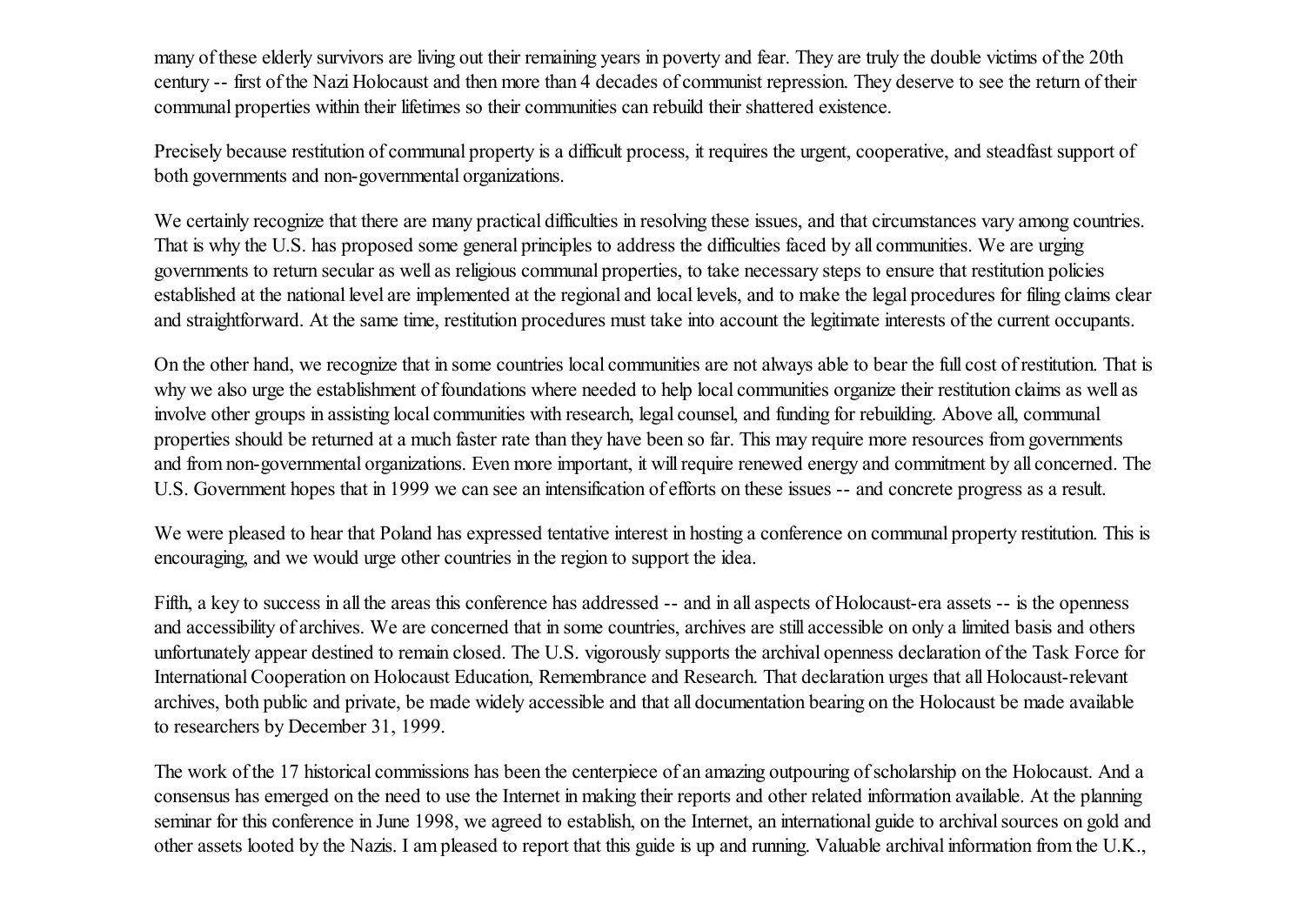many of these elderly survivors are living out their remaining years in poverty and fear. They are truly the double victims of the 20th century -- first of the Nazi Holocaust and then more than 4 decades of communist repression. They deserve to see the return of their communal properties within their lifetimes so their communities can rebuild their shattered existence.

Precisely because restitution of communal property is a difficult process, it requires the urgent, cooperative, and steadfast support of both governments and non-governmental organizations.

We certainly recognize that there are many practical difficulties in resolving these issues, and that circumstances vary among countries. That is why the U.S. has proposed some general principles to address the difficulties faced by all communities. We are urging governments to return secular as well as religious communal properties, to take necessary steps to ensure that restitution policies established at the national level are implemented at the regional and local levels, and to make the legal procedures for filing claims clear and straightforward. At the same time, restitution procedures must take into account the legitimate interests of the current occupants.

On the other hand, we recognize that in some countries local communities are not always able to bear the full cost of restitution. That is why we also urge the establishment of foundations where needed to help local communities organize their restitution claims as well as involve other groups in assisting local communities with research, legal counsel, and funding for rebuilding. Above all, communal properties should be returned at a much faster rate than they have been so far. This may require more resources from governments and from non-governmental organizations. Even more important, it will require renewed energy and commitment by all concerned. The U.S. Government hopes that in 1999 we can see an intensification of efforts on these issues -- and concrete progress as a result.

We were pleased to hear that Poland has expressed tentative interest in hosting a conference on communal property restitution. This is encouraging, and we would urge other countries in the region to support the idea.

Fifth, a key to success in all the areas this conference has addressed -- and in all aspects of Holocaust-era assets -- is the openness and accessibility of archives. We are concerned that in some countries, archives are still accessible on only a limited basis and others unfortunately appear destined to remain closed. The U.S. vigorously supports the archival openness declaration of the Task Force for International Cooperation on Holocaust Education, Remembrance and Research. That declaration urges that all Holocaust-relevant archives, both public and private, be made widely accessible and that all documentation bearing on the Holocaust be made available to researchers by December 31, 1999.

The work of the 17 historical commissions has been the centerpiece of an amazing outpouring of scholarship on the Holocaust. And a consensus has emerged on the need to use the Internet in making their reports and other related information available. At the planning seminar for this conference in June 1998, we agreed to establish, on the Internet, an international guide to archival sources on gold and other assets looted by the Nazis. I am pleased to report that this guide is up and running. Valuable archival information from the U.K.,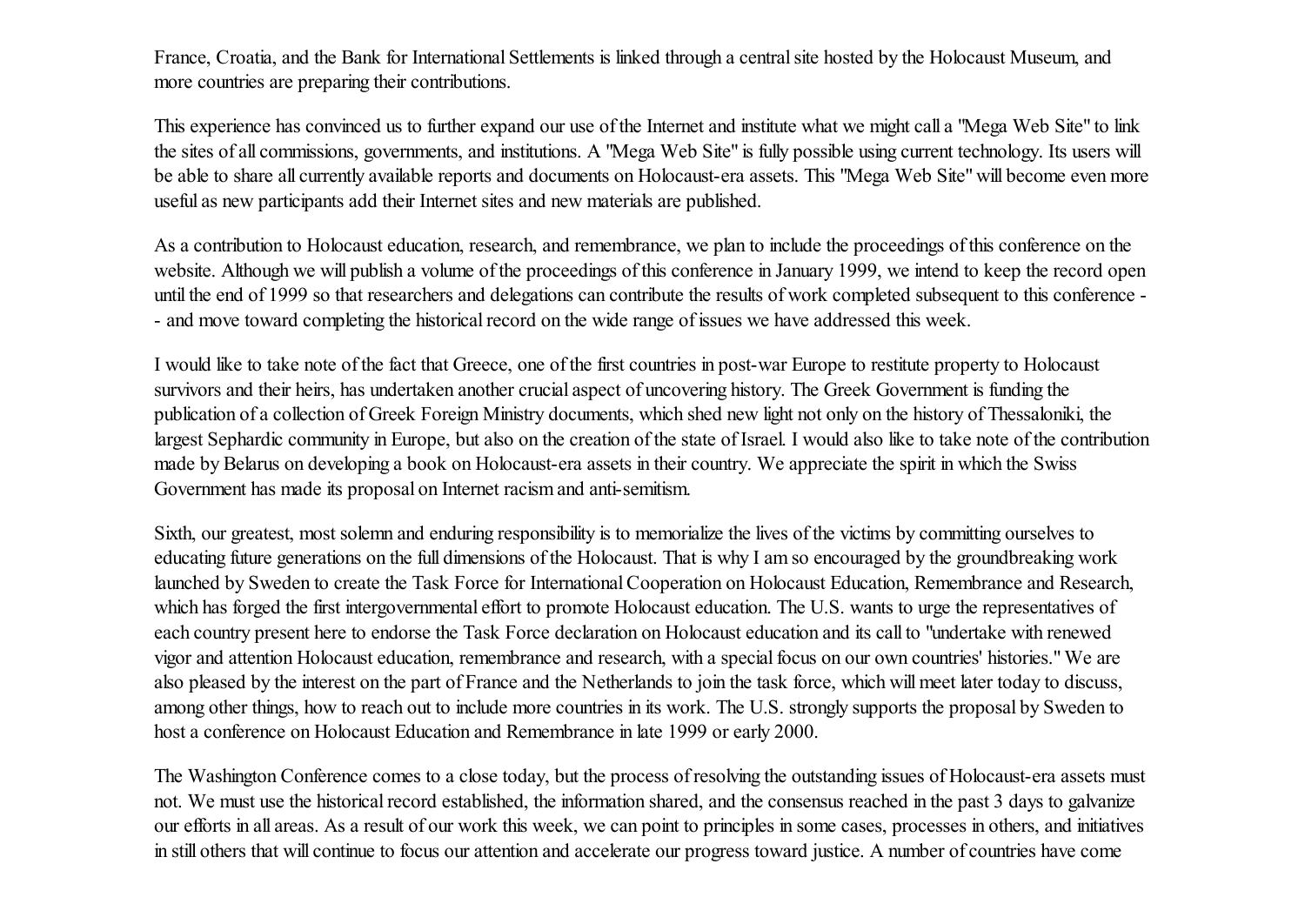France, Croatia, and the Bank for International Settlements is linked through a centralsite hosted by the Holocaust Museum, and more countries are preparing their contributions.

This experience has convinced us to further expand our use of the Internet and institute what we might call a "Mega Web Site" to link the sites of all commissions, governments, and institutions. A "Mega Web Site" is fully possible using current technology. Its users will be able to share all currently available reports and documents on Holocaust-era assets. This "Mega Web Site" will become even more useful as new participants add their Internet sites and new materials are published.

As a contribution to Holocaust education, research, and remembrance, we plan to include the proceedings of this conference on the website. Although we will publish a volume of the proceedings of this conference in January 1999, we intend to keep the record open until the end of 1999 so that researchers and delegations can contribute the results of work completed subsequent to this conference - - and move toward completing the historical record on the wide range of issues we have addressed this week.

I would like to take note of the fact that Greece, one of the first countries in post-war Europe to restitute property to Holocaust survivors and their heirs, has undertaken another crucial aspect of uncovering history. The Greek Government is funding the publication of a collection of Greek Foreign Ministry documents, which shed new light not only on the history of Thessaloniki, the largest Sephardic community in Europe, but also on the creation of the state of Israel. I would also like to take note of the contribution made by Belarus on developing a book on Holocaust-era assets in their country. We appreciate the spirit in which the Swiss Government has made its proposal on Internet racism and anti-semitism.

Sixth, our greatest, most solemn and enduring responsibility is to memorialize the lives of the victims by committing ourselves to educating future generations on the full dimensions of the Holocaust. That is why I am so encouraged by the groundbreaking work launched by Sweden to create the Task Force for International Cooperation on Holocaust Education, Remembrance and Research, which has forged the first intergovernmental effort to promote Holocaust education. The U.S. wants to urge the representatives of each country present here to endorse the Task Force declaration on Holocaust education and its call to "undertake with renewed vigor and attention Holocaust education, remembrance and research, with a special focus on our own countries' histories." We are also pleased by the interest on the part of France and the Netherlands to join the task force, which will meet later today to discuss, among other things, how to reach out to include more countries in its work. The U.S. strongly supports the proposal by Sweden to host a conference on Holocaust Education and Remembrance in late 1999 or early 2000.

The Washington Conference comes to a close today, but the process of resolving the outstanding issues of Holocaust-era assets must not. We must use the historical record established, the information shared, and the consensus reached in the past 3 days to galvanize our efforts in all areas. As a result of our work this week, we can point to principles in some cases, processes in others, and initiatives in still others that will continue to focus our attention and accelerate our progress toward justice. A number of countries have come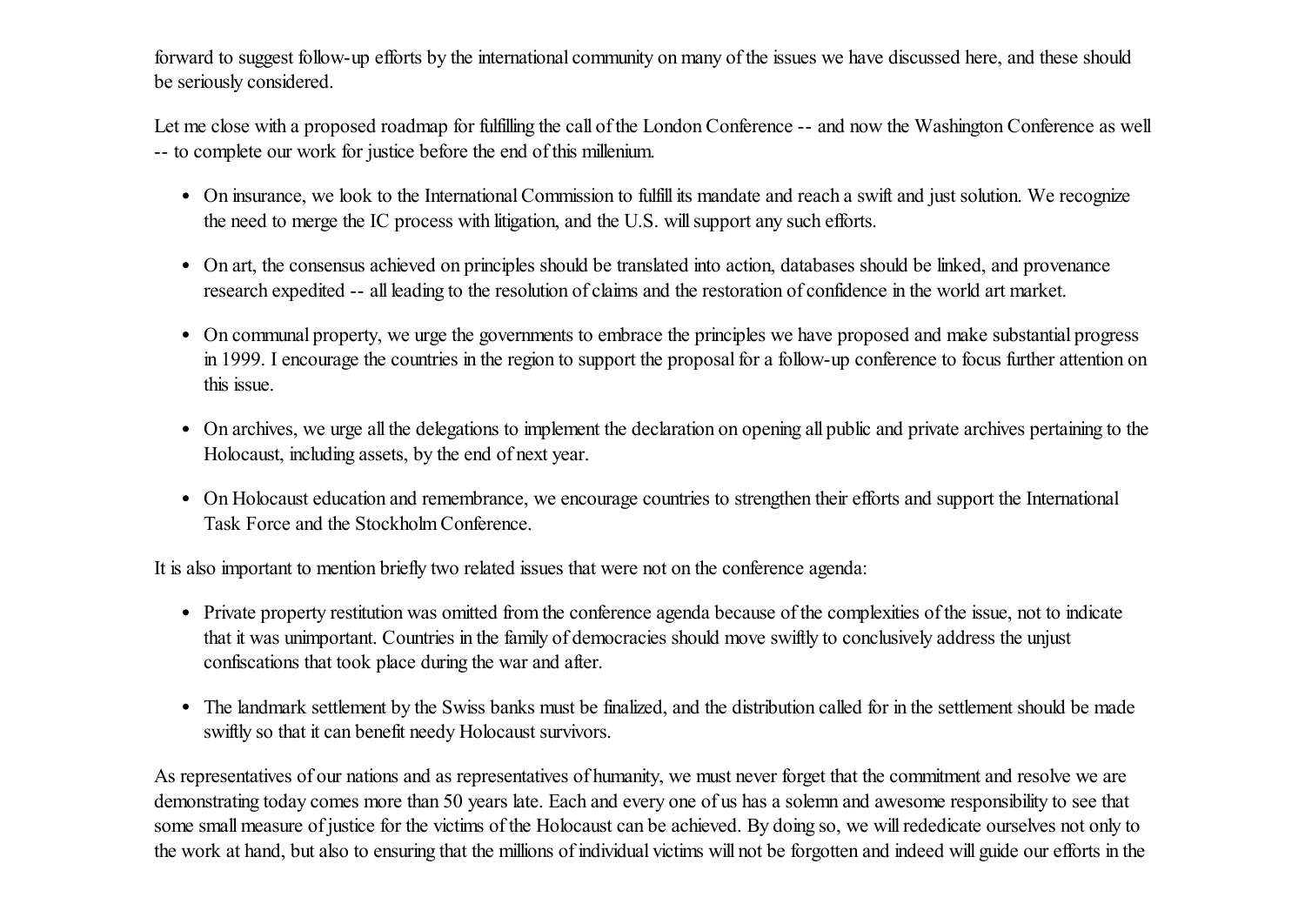forward to suggest follow-up efforts by the international community on many of the issues we have discussed here, and these should be seriously considered.

Let me close with a proposed roadmap for fulfilling the call of the London Conference -- and now the Washington Conference as well -- to complete our work for justice before the end of this millenium.

- On insurance, we look to the International Commission to fulfill its mandate and reach a swift and just solution. We recognize the need to merge the IC process with litigation, and the U.S. will support any such efforts.
- On art, the consensus achieved on principles should be translated into action, databases should be linked, and provenance research expedited -- all leading to the resolution of claims and the restoration of confidence in the world art market.
- On communal property, we urge the governments to embrace the principles we have proposed and make substantial progress in 1999. I encourage the countries in the region to support the proposal for a follow-up conference to focus further attention on this issue.
- On archives, we urge all the delegations to implement the declaration on opening all public and private archives pertaining to the Holocaust, including assets, by the end of next year.
- On Holocaust education and remembrance, we encourage countries to strengthen their efforts and support the International Task Force and the Stockholm Conference.

It is also important to mention briefly two related issues that were not on the conference agenda:

- Private property restitution was omitted from the conference agenda because of the complexities of the issue, not to indicate that it was unimportant. Countries in the family of democracies should move swiftly to conclusively address the unjust confiscations that took place during the war and after.
- The landmark settlement by the Swiss banks must be finalized, and the distribution called for in the settlement should be made swiftly so that it can benefit needy Holocaust survivors.

As representatives of our nations and as representatives of humanity, we must never forget that the commitment and resolve we are demonstrating today comes more than 50 years late. Each and every one of us has a solemn and awesome responsibility to see that some small measure of justice for the victims of the Holocaust can be achieved. By doing so, we willrededicate ourselves not only to the work at hand, but also to ensuring that the millions of individual victims will not be forgotten and indeed will guide our efforts in the